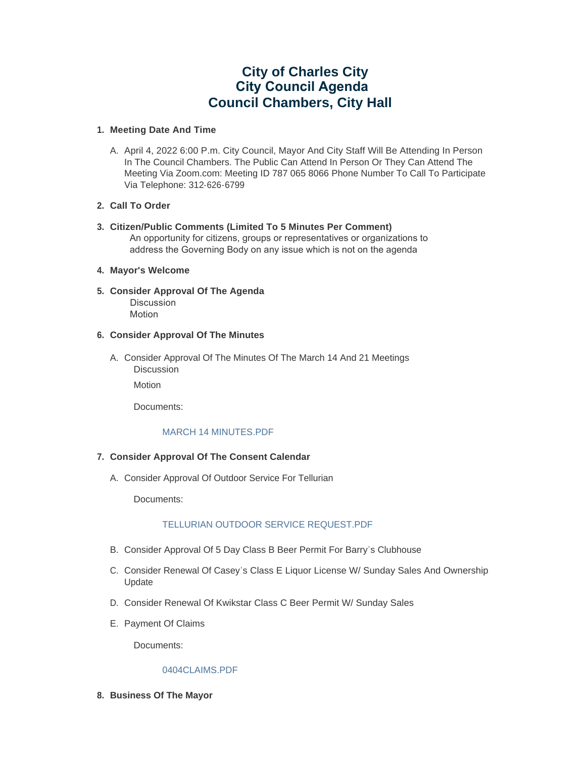# **City of Charles City City Council Agenda Council Chambers, City Hall**

# **Meeting Date And Time 1.**

A. April 4, 2022 6:00 P.m. City Council, Mayor And City Staff Will Be Attending In Person In The Council Chambers. The Public Can Attend In Person Or They Can Attend The Meeting Via Zoom.com: Meeting ID 787 065 8066 Phone Number To Call To Participate Via Telephone: 312-626-6799

# **Call To Order 2.**

**Citizen/Public Comments (Limited To 5 Minutes Per Comment) 3.** An opportunity for citizens, groups or representatives or organizations to address the Governing Body on any issue which is not on the agenda

## **Mayor's Welcome 4.**

**Consider Approval Of The Agenda 5.** Discussion Motion

# **Consider Approval Of The Minutes 6.**

A. Consider Approval Of The Minutes Of The March 14 And 21 Meetings Discussion

Motion

Documents:

# [MARCH 14 MINUTES.PDF](https://www.cityofcharlescity.org/AgendaCenter/ViewFile/Item/6305?fileID=4110)

# **Consider Approval Of The Consent Calendar 7.**

A. Consider Approval Of Outdoor Service For Tellurian

Documents:

# TELLURIAN OUTDOOR SERVICE REQUEST PDF

- B. Consider Approval Of 5 Day Class B Beer Permit For Barry's Clubhouse
- C. Consider Renewal Of Casey's Class E Liquor License W/ Sunday Sales And Ownership Update
- D. Consider Renewal Of Kwikstar Class C Beer Permit W/ Sunday Sales
- E. Payment Of Claims

Documents:

#### [0404CLAIMS.PDF](https://www.cityofcharlescity.org/AgendaCenter/ViewFile/Item/6310?fileID=4123)

**Business Of The Mayor 8.**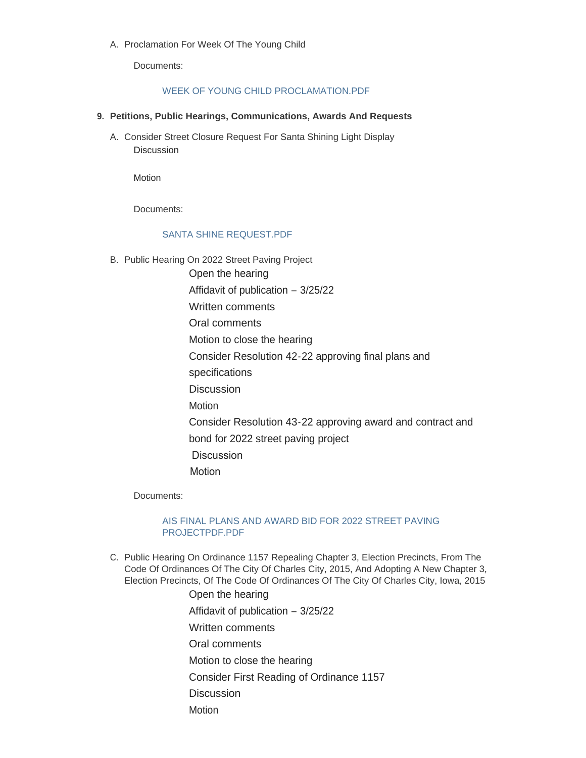A. Proclamation For Week Of The Young Child

Documents:

#### [WEEK OF YOUNG CHILD PROCLAMATION.PDF](https://www.cityofcharlescity.org/AgendaCenter/ViewFile/Item/6311?fileID=4111)

#### **Petitions, Public Hearings, Communications, Awards And Requests 9.**

Consider Street Closure Request For Santa Shining Light Display A. Discussion

Motion

Documents:

# [SANTA SHINE REQUEST.PDF](https://www.cityofcharlescity.org/AgendaCenter/ViewFile/Item/6312?fileID=4112)

B. Public Hearing On 2022 Street Paving Project

Open the hearing Affidavit of publication – 3/25/22 Written comments Oral comments Motion to close the hearing Consider Resolution 42-22 approving final plans and specifications **Discussion** Motion Consider Resolution 43-22 approving award and contract and bond for 2022 street paving project Discussion Motion

Documents:

# [AIS FINAL PLANS AND AWARD BID FOR 2022 STREET PAVING](https://www.cityofcharlescity.org/AgendaCenter/ViewFile/Item/6313?fileID=4113)  PROJECTPDF.PDF

- C. Public Hearing On Ordinance 1157 Repealing Chapter 3, Election Precincts, From The Code Of Ordinances Of The City Of Charles City, 2015, And Adopting A New Chapter 3, Election Precincts, Of The Code Of Ordinances Of The City Of Charles City, Iowa, 2015
	- Open the hearing Affidavit of publication – 3/25/22 Written comments Oral comments Motion to close the hearing Consider First Reading of Ordinance 1157 **Discussion Motion**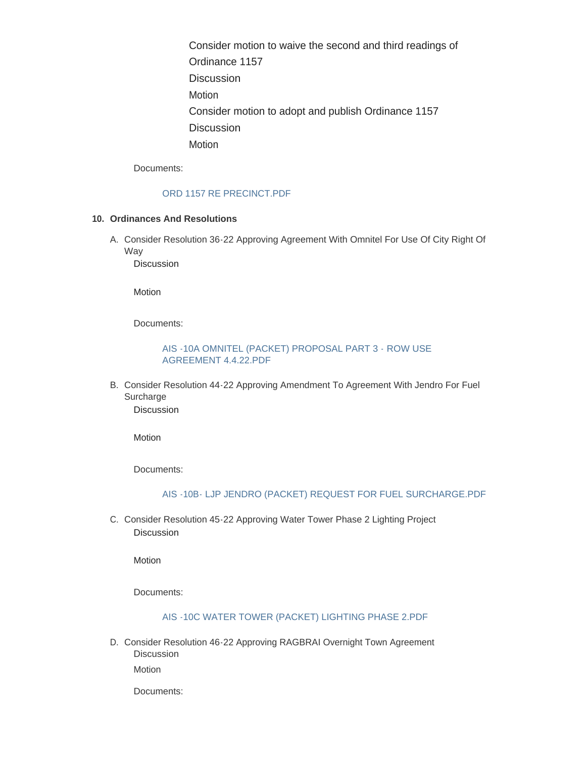Consider motion to waive the second and third readings of Ordinance 1157 **Discussion Motion** Consider motion to adopt and publish Ordinance 1157 **Discussion** Motion

Documents:

#### [ORD 1157 RE PRECINCT.PDF](https://www.cityofcharlescity.org/AgendaCenter/ViewFile/Item/6314?fileID=4114)

#### **Ordinances And Resolutions 10.**

A. Consider Resolution 36-22 Approving Agreement With Omnitel For Use Of City Right Of Way

Discussion

Motion

Documents:

#### [AIS -10A OMNITEL \(PACKET\) PROPOSAL PART 3 - ROW USE](https://www.cityofcharlescity.org/AgendaCenter/ViewFile/Item/6315?fileID=4115)  AGREEMENT 4.4.22.PDF

B. Consider Resolution 44-22 Approving Amendment To Agreement With Jendro For Fuel **Surcharge** Discussion

Motion

Documents:

#### [AIS -10B- LJP JENDRO \(PACKET\) REQUEST FOR FUEL SURCHARGE.PDF](https://www.cityofcharlescity.org/AgendaCenter/ViewFile/Item/6316?fileID=4116)

C. Consider Resolution 45-22 Approving Water Tower Phase 2 Lighting Project Discussion

Motion

Documents:

#### [AIS -10C WATER TOWER \(PACKET\) LIGHTING PHASE 2.PDF](https://www.cityofcharlescity.org/AgendaCenter/ViewFile/Item/6317?fileID=4117)

D. Consider Resolution 46-22 Approving RAGBRAI Overnight Town Agreement Discussion

Motion

Documents: